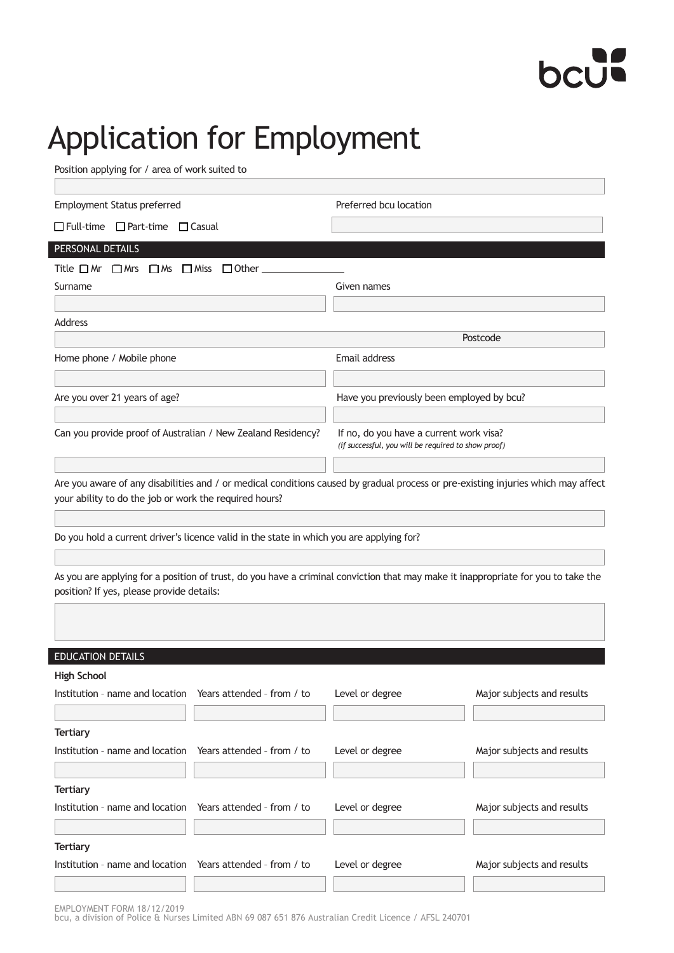# bcut

## Application for Employment

Position applying for / area of work suited to

| <b>Employment Status preferred</b>                                                       | Preferred bcu location                                                                                                            |
|------------------------------------------------------------------------------------------|-----------------------------------------------------------------------------------------------------------------------------------|
| $\Box$ Full-time $\Box$ Part-time $\Box$ Casual                                          |                                                                                                                                   |
| PERSONAL DETAILS                                                                         |                                                                                                                                   |
| Title $\Box$ Mr $\Box$ Mrs $\Box$ Ms $\Box$ Miss $\Box$ Other $\Box$                     |                                                                                                                                   |
| Surname                                                                                  | Given names                                                                                                                       |
|                                                                                          |                                                                                                                                   |
| <b>Address</b>                                                                           |                                                                                                                                   |
|                                                                                          | Postcode                                                                                                                          |
| Home phone / Mobile phone                                                                | Email address                                                                                                                     |
|                                                                                          |                                                                                                                                   |
| Are you over 21 years of age?                                                            | Have you previously been employed by bcu?                                                                                         |
|                                                                                          |                                                                                                                                   |
| Can you provide proof of Australian / New Zealand Residency?                             | If no, do you have a current work visa?<br>(if successful, you will be required to show proof)                                    |
|                                                                                          |                                                                                                                                   |
| your ability to do the job or work the required hours?                                   | Are you aware of any disabilities and / or medical conditions caused by gradual process or pre-existing injuries which may affect |
|                                                                                          |                                                                                                                                   |
| Do you hold a current driver's licence valid in the state in which you are applying for? |                                                                                                                                   |
|                                                                                          |                                                                                                                                   |
| position? If yes, please provide details:                                                | As you are applying for a position of trust, do you have a criminal conviction that may make it inappropriate for you to take the |
|                                                                                          |                                                                                                                                   |
|                                                                                          |                                                                                                                                   |

| <b>EDUCATION DETAILS</b>                                   |                 |                            |
|------------------------------------------------------------|-----------------|----------------------------|
| <b>High School</b>                                         |                 |                            |
| Institution - name and location Years attended - from / to | Level or degree | Major subjects and results |
|                                                            |                 |                            |
| <b>Tertiary</b>                                            |                 |                            |
| Institution - name and location Years attended - from / to | Level or degree | Major subjects and results |
|                                                            |                 |                            |
| <b>Tertiary</b>                                            |                 |                            |
| Institution - name and location Years attended - from / to | Level or degree | Major subjects and results |
|                                                            |                 |                            |
| <b>Tertiary</b>                                            |                 |                            |
| Institution - name and location Years attended - from / to | Level or degree | Major subjects and results |
|                                                            |                 |                            |

EMPLOYMENT FORM 18/12/2019 bcu, a division of Police & Nurses Limited ABN 69 087 651 876 Australian Credit Licence / AFSL 240701